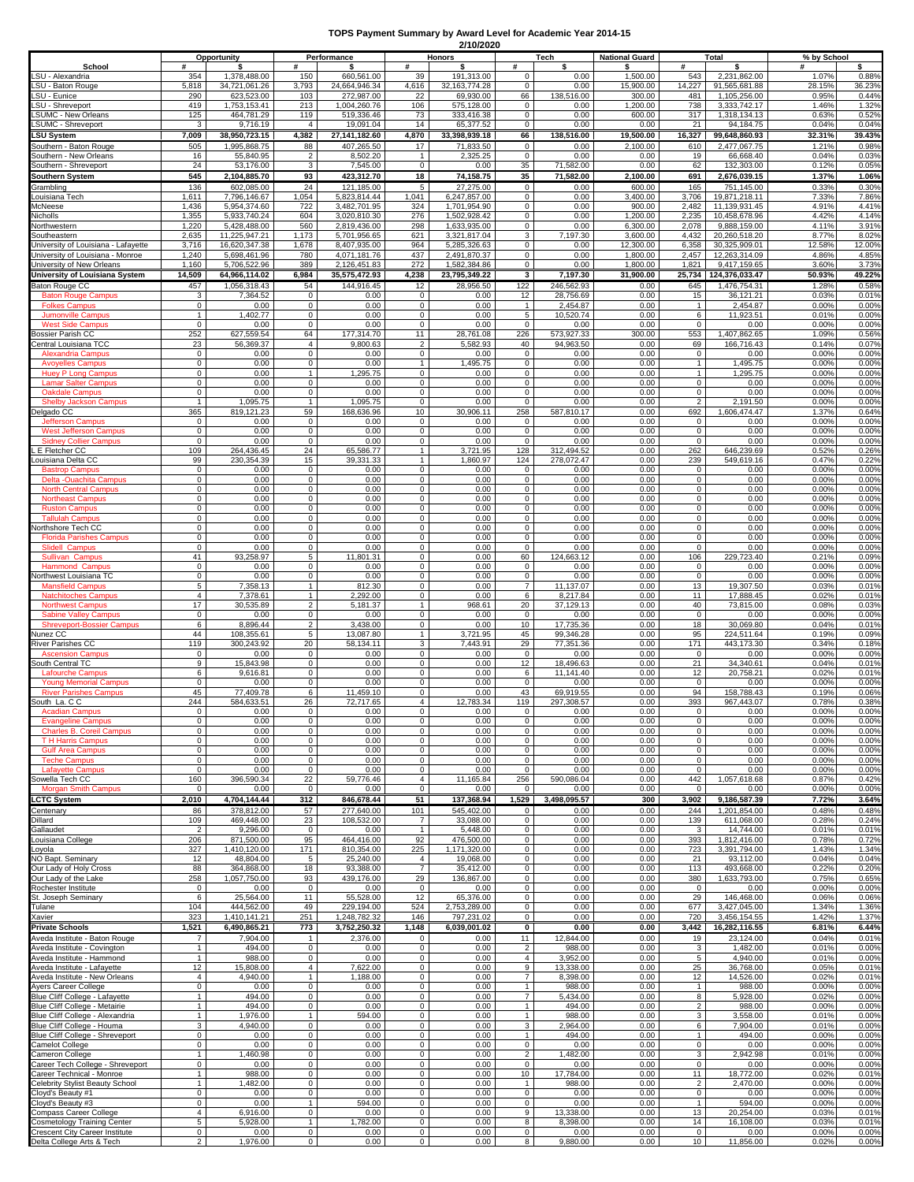## **TOPS Payment Summary by Award Level for Academic Year 2014-15 2/10/2020**

|                                                                    | Opportunity                      |                                | Performance                    |                               | 2/10/2020<br>Honors           |                              | Tech                            |                         | <b>National Guard</b> | Total                         |                                       | % by School     |                 |
|--------------------------------------------------------------------|----------------------------------|--------------------------------|--------------------------------|-------------------------------|-------------------------------|------------------------------|---------------------------------|-------------------------|-----------------------|-------------------------------|---------------------------------------|-----------------|-----------------|
| School<br>SU - Alexandria                                          | #<br>354                         | 1,378,488.00                   | #<br>150                       | \$<br>660,561.00              | #<br>39                       | \$<br>191,313.00             | #<br>$\mathbf{0}$               | \$<br>0.00              | \$<br>1,500.00        | #<br>543                      | s<br>2,231,862.00                     | #<br>1.07%      | s<br>0.88%      |
| SU - Baton Rouge                                                   | 5,818                            | 34,721,061.26                  | 3,793                          | 24.664.946.34                 | 4,616                         | 32.163.774.28                | $\mathbf{0}$                    | 0.00                    | 15,900.00             | 14,227                        | 91.565.681.88                         | 28.15%          | 36.23%          |
| SU - Eunice<br>SU - Shreveport                                     | 290<br>419                       | 623,523.00<br>1,753,153.41     | 103<br>213                     | 272,987.00<br>1,004,260.76    | 22<br>106                     | 69,930.00<br>575,128.00      | 66<br>$\mathbf 0$               | 138,516.00<br>0.00      | 300.00<br>1,200.00    | 481<br>738                    | 1,105,256.00<br>3,333,742.17          | 0.95%<br>1.46%  | 0.44%<br>1.32%  |
| SUMC - New Orleans                                                 | 125                              | 464,781.29                     | 119                            | 519,336.46                    | 73                            | 333,416.38                   | $\mathbf 0$                     | 0.00                    | 600.00                | 317                           | 1,318,134.13                          | 0.63%           | 0.529           |
| SUMC - Shreveport                                                  | 3                                | 9.716.19                       | $\overline{4}$                 | 19.091.04                     | 14                            | 65,377.52                    | $\mathbf{0}$                    | 0.00                    | 0.00                  | 21                            | 94,184.75                             | 0.04%           | 0.04%           |
| LSU System<br>Southern - Baton Rouge                               | 7,009<br>505                     | 38,950,723.15<br>1.995.868.75  | 4,382<br>88                    | 27,141,182.60<br>407,265.50   | 4,870<br>17                   | 33,398,939.18<br>71,833.50   | 66<br>$\mathbf 0$               | 138,516.00<br>0.00      | 19,500.00<br>2,100.00 | 16,327<br>610                 | 99,648,860.93<br>2,477,067.75         | 32.31%<br>1.21% | 39.43%<br>0.98% |
| Southern - New Orleans                                             | 16                               | 55,840.95                      | 2                              | 8,502.20                      | $\mathbf{1}$                  | 2,325.25                     | $\mathbf 0$                     | 0.00                    | 0.00                  | 19                            | 66,668.40                             | 0.04%           | 0.03%           |
| Southern - Shreveport                                              | 24<br>545                        | 53,176.00<br>2,104,885.70      | 3<br>93                        | 7,545.00<br>423,312.70        | $\mathbf 0$<br>18             | 0.00<br>74,158.75            | 35<br>35                        | 71,582.00<br>71,582.00  | 0.00<br>2,100.00      | 62<br>691                     | 132,303.00<br>2,676,039.15            | 0.12%<br>1.37%  | 0.05%<br>1.06%  |
| Southern System<br><b>Grambling</b>                                | 136                              | 602.085.00                     | 24                             | 121.185.00                    | 5                             | 27,275.00                    | $\mathbf{0}$                    | 0.00                    | 600.00                | 165                           | 751,145.00                            | 0.33%           | 0.30%           |
| ouisiana Tech                                                      | 1,611                            | 7,796,146.67                   | 1,054                          | 5,823,814.44                  | 1,041                         | 6,247,857.00                 | $\mathbf 0$                     | 0.00                    | 3,400.00              | 3,706                         | 19,871,218.11                         | 7.33%           | 7.86%           |
| McNeese<br>Nicholls                                                | 1,436<br>1,355                   | 5,954,374.60<br>5,933,740.24   | 722<br>604                     | 3,482,701.95<br>3,020,810.30  | 324<br>276                    | 1,701,954.90<br>1.502.928.42 | $\mathbf{0}$<br>0               | 0.00<br>0.00            | 900.00<br>1,200.00    | 2,482<br>2,235                | 11,139,931.45<br>10,458,678.96        | 4.91%<br>4.42%  | 4.41%<br>4.14%  |
| Northwestern                                                       | 1,220                            | 5,428,488.00                   | 560                            | 2,819,436.00                  | 298                           | 1,633,935.00                 | $\mathsf 0$                     | 0.00                    | 6,300.00              | 2,078                         | 9,888,159.00                          | 4.11%           | 3.91%           |
| Southeastern<br>Jniversity of Louisiana - Lafayette                | 2,635<br>3,716                   | 11,225,947.21<br>16,620,347.38 | 1,173<br>1,678                 | 5,701,956.65<br>8.407.935.00  | 621<br>964                    | 3,321,817.04<br>5,285,326.63 | 3<br>0                          | 7,197.30<br>0.00        | 3,600.00<br>12,300.00 | 4,432<br>6,358                | 20,260,518.20<br>30,325,909.01        | 8.77%<br>12.58% | 8.02%<br>12.00% |
| Jniversity of Louisiana - Monroe                                   | 1,240                            | 5,698,461.96                   | 780                            | 4,071,181.76                  | 437                           | 2,491,870.37                 | $\mathbf 0$                     | 0.00                    | 1,800.00              | 2,457                         | 12,263,314.09                         | 4.86%           | 4.85%           |
| University of New Orleans                                          | 1,160<br>14,509                  | 5,706,522.96<br>64,966,114.02  | 389<br>6,984                   | 2,126,451.83<br>35,575,472.93 | 272<br>4,238                  | 1,582,384.86                 | $\mathbf{0}$<br>3               | 0.00<br>7,197.30        | 1,800.00<br>31,900.00 | 1,821                         | 9,417,159.65<br>25,734 124,376,033.47 | 3.60%<br>50.93% | 3.73%<br>49.22% |
| University of Louisiana System<br>Baton Rouge CC                   | 457                              | 1,056,318.43                   | 54                             | 144,916.45                    | 12                            | 23,795,349.22<br>28,956.50   | 122                             | 246,562.93              | 0.00                  | 645                           | 1,476,754.31                          | 1.28%           | 0.58%           |
| <b>Baton Rouge Campus</b>                                          | 3                                | 7,364.52                       | $\mathbf 0$                    | 0.00                          | $\overline{0}$                | 0.00                         | 12                              | 28,756.69               | 0.00                  | 15                            | 36,121.21                             | 0.03%           | 0.01%           |
| <b>Folkes Campus</b><br><b>Jumonville Campus</b>                   | $\mathbf 0$<br>$\mathbf{1}$      | 0.00<br>1,402.77               | 0<br>0                         | 0.00<br>0.00                  | $\mathbf 0$<br>$\mathbf 0$    | 0.00<br>0.00                 | $\overline{1}$<br>5             | 2,454.87<br>10,520.74   | 0.00<br>0.00          | $\mathbf{1}$<br>6             | 2,454.87<br>11,923.51                 | 0.00%<br>0.01%  | 0.00%<br>0.00%  |
| <b>West Side Campus</b>                                            | $\overline{0}$                   | 0.00                           | $\overline{0}$                 | 0.00                          | $\overline{0}$                | 0.00                         | $\overline{0}$                  | 0.00                    | 0.00                  | $\overline{0}$                | 0.00                                  | 0.00%           | 0.00%           |
| Bossier Parish CC<br>entral Louisiana TCC                          | 252<br>23                        | 627,559.54<br>56,369.37        | 64<br>4                        | 177,314.70<br>9,800.63        | 11<br>$\overline{c}$          | 28,761.08<br>5,582.93        | 226<br>40                       | 573.927.33<br>94,963.50 | 300.00<br>0.00        | 553<br>69                     | 1,407,862.65<br>166,716.43            | 1.09%<br>0.14%  | 0.56%<br>0.07%  |
| <b>Alexandria Campus</b>                                           | 0                                | 0.00                           | 0                              | 0.00                          | $\mathbf 0$                   | 0.00                         | $\mathbf{0}$                    | 0.00                    | 0.00                  | $\mathbf 0$                   | 0.00                                  | 0.00%           | 0.00%           |
| <b>Avovelles Campus</b><br><b>Huev P Long Campus</b>               | $\mathbf{0}$<br>$\mathbf 0$      | 0.00<br>0.00                   | 0<br>$\mathbf{1}$              | 0.00<br>1.295.75              | $\mathbf{1}$<br>$\mathbf{0}$  | 1,495.75<br>0.00             | $\mathbf{0}$<br>0               | 0.00<br>0.00            | 0.00<br>0.00          | $\mathbf{1}$<br>$\mathbf{1}$  | 1,495.75<br>1.295.75                  | 0.00%<br>0.00%  | 0.00%<br>0.00%  |
| <b>Lamar Salter Campus</b>                                         | $\mathbf 0$                      | 0.00                           | 0                              | 0.00                          | $\mathsf 0$                   | 0.00                         | $\mathsf 0$                     | 0.00                    | 0.00                  | $\mathbf 0$                   | 0.00                                  | 0.00%           | 0.00%           |
| <b>Oakdale Campus</b>                                              | 0<br>$\mathbf{1}$                | 0.00<br>1.095.75               | 0<br>$\mathbf{1}$              | 0.00                          | $\mathbf 0$<br>$\mathbf 0$    | 0.00<br>0.00                 | 0<br>$\mathbf 0$                | 0.00<br>0.00            | 0.00<br>0.00          | $\mathbf 0$<br>$\overline{2}$ | 0.00                                  | 0.00%<br>0.00%  | 0.00%<br>0.00%  |
| <b>Shelby Jackson Campus</b><br>Delgado CC                         | 365                              | 819.121.23                     | 59                             | 1,095.75<br>168,636.96        | 10                            | 30,906.11                    | 258                             | 587,810.17              | 0.00                  | 692                           | 2,191.50<br>1,606,474.47              | 1.37%           | 0.64%           |
| <b>Jefferson Campus</b>                                            | 0                                | 0.00                           | 0                              | 0.00                          | $\mathsf 0$                   | 0.00                         | 0                               | 0.00                    | 0.00                  | 0                             | 0.00                                  | 0.00%           | 0.00%           |
| <b>West Jefferson Campus</b><br><b>Sidney Collier Campus</b>       | $\mathbf 0$<br>$\Omega$          | 0.00<br>0.00                   | 0<br>0                         | 0.00<br>0.00                  | $\mathbf 0$<br>$\mathsf 0$    | 0.00<br>0.00                 | 0<br>$\mathbf 0$                | 0.00<br>0.00            | 0.00<br>0.00          | $\mathbf 0$<br>$\mathbf 0$    | 0.00<br>0.00                          | 0.00%<br>0.00%  | 0.00%<br>0.00%  |
| E Fletcher CC                                                      | 109                              | 264,436.45                     | 24                             | 65,586.77                     | $\mathbf{1}$                  | 3,721.95                     | 128                             | 312,494.52              | 0.00                  | 262                           | 646,239.69                            | 0.52%           | 0.26%           |
| ouisiana Delta CC<br><b>Bastrop Campus</b>                         | 99<br>$\mathbf 0$                | 230.354.39<br>0.00             | 15<br>$\mathbf 0$              | 39,331.33<br>0.00             | $\mathbf{1}$<br>$\mathbf 0$   | 1,860.97<br>0.00             | 124<br>$\mathbf 0$              | 278,072.47<br>0.00      | 0.00<br>0.00          | 239<br>$\mathbf 0$            | 549.619.16<br>0.00                    | 0.47%<br>0.00%  | 0.22%<br>0.00%  |
| Delta -Ouachita Campus                                             | 0                                | 0.00                           | 0                              | 0.00                          | $\overline{0}$                | 0.00                         | $\mathbf{0}$                    | 0.00                    | 0.00                  | $\mathbf 0$                   | 0.00                                  | 0.00%           | 0.00%           |
| <b>North Central Campus</b><br><b>Northeast Campus</b>             | 0<br>$\mathbf{0}$                | 0.00<br>0.00                   | 0<br>0                         | 0.00<br>0.00                  | $\mathbf 0$<br>$\mathbf{0}$   | 0.00<br>0.00                 | 0<br>0                          | 0.00<br>0.00            | 0.00<br>0.00          | $\mathbf 0$<br>$\mathbf 0$    | 0.00<br>0.00                          | 0.00%<br>0.00%  | 0.00%<br>0.00%  |
| <b>Ruston Campus</b>                                               | $\mathbf 0$                      | 0.00                           | 0                              | 0.00                          | $\mathsf 0$                   | 0.00                         | $\mathsf 0$                     | 0.00                    | 0.00                  | $\mathbf 0$                   | 0.00                                  | 0.00%           | 0.00%           |
| <b>Tallulah Campus</b><br><b>Northshore Tech CC</b>                | $\mathbf 0$<br>$\mathbf 0$       | 0.00<br>0.00                   | 0<br>0                         | 0.00<br>0.00                  | $\mathbf 0$<br>$\mathbf{0}$   | 0.00<br>0.00                 | 0<br>0                          | 0.00<br>0.00            | 0.00<br>0.00          | $\mathbf 0$<br>0              | 0.00<br>0.00                          | 0.00%<br>0.00%  | 0.00%<br>0.00%  |
| <b>Florida Parishes Campus</b>                                     | $\mathbf 0$                      | 0.00                           | $\mathbf 0$                    | 0.00                          | $\overline{0}$                | 0.00                         | $\mathbf 0$                     | 0.00                    | 0.00                  | $\mathbf 0$                   | 0.00                                  | 0.00%           | 0.00%           |
| Slidell Campus                                                     | $\mathbf 0$                      | 0.00                           | 0                              | 0.00                          | $\mathbf 0$                   | 0.00                         | $\mathbf{0}$                    | 0.00                    | 0.00                  | $\mathbf{0}$                  | 0.00                                  | 0.00%           | 0.00%           |
| <b>Sullivan Campus</b><br><b>Hammond Campus</b>                    | 41<br>$\mathbf 0$                | 93,258.97<br>0.00              | 5<br>0                         | 11,801.31<br>0.00             | $\mathsf 0$<br>$\overline{0}$ | 0.00<br>0.00                 | 60<br>$\mathbf 0$               | 124,663.12<br>0.00      | 0.00<br>0.00          | 106<br>$\mathbf 0$            | 229,723.40<br>0.00                    | 0.21%<br>0.00%  | 0.09%<br>0.00%  |
| Vorthwest Louisiana TC                                             | $\mathbf 0$                      | 0.00                           | 0                              | 0.00                          | $\mathbf 0$                   | 0.00                         | 0                               | 0.00                    | 0.00                  | $\mathbf 0$                   | 0.00                                  | 0.00%           | 0.00%           |
| <b>Mansfield Campus</b><br><b>Natchitoches Campus</b>              | 5<br>4                           | 7,358.13<br>7,378.61           | $\mathbf{1}$<br>$\mathbf{1}$   | 812.30<br>2,292.00            | $\mathbf 0$<br>$\mathbf 0$    | 0.00<br>0.00                 | $\overline{7}$<br>6             | 11,137.07<br>8,217.84   | 0.00<br>0.00          | 13<br>11                      | 19,307.50<br>17,888.45                | 0.03%<br>0.02%  | 0.01%<br>0.01%  |
| <b>Northwest Campus</b>                                            | 17                               | 30,535.89                      | $\overline{2}$                 | 5,181.37                      | $\mathbf{1}$                  | 968.61                       | 20                              | 37,129.13               | 0.00                  | 40                            | 73,815.00                             | 0.08%           | 0.03%           |
| <b>Sabine Valley Campus</b><br><b>Shreveport-Bossier Campus</b>    | $\mathbf 0$<br>6                 | 0.00<br>8,896.44               | 0<br>$\overline{\mathbf{c}}$   | 0.00<br>3,438.00              | $\mathbf{0}$<br>$\mathsf 0$   | 0.00<br>0.00                 | $\mathbf{0}$<br>10              | 0.00<br>17,735.36       | 0.00<br>0.00          | $\mathbf 0$<br>18             | 0.00<br>30,069.80                     | 0.00%<br>0.04%  | 0.00%<br>0.01%  |
| Nunez CC                                                           | 44                               | 108.355.61                     | 5                              | 13,087.80                     | 1                             | 3,721.95                     | 45                              | 99,346.28               | 0.00                  | 95                            | 224,511.64                            | 0.19%           | 0.09%           |
| River Parishes CC<br><b>Ascension Campus</b>                       | 119<br>0                         | 300,243.92<br>0.00             | 20<br>0                        | 58,134.11<br>0.00             | 3<br>$\mathbf 0$              | 7,443.91<br>0.00             | 29<br>$\mathbf{0}$              | 77,351.36<br>0.00       | 0.00<br>0.00          | 171<br>$\mathbf 0$            | 443,173.30<br>0.00                    | 0.34%<br>0.00%  | 0.18%<br>0.00%  |
| South Central TC                                                   | 9                                | 15.843.98                      | 0                              | 0.00                          | $\mathbf 0$                   | 0.00                         | 12                              | 18,496.63               | 0.00                  | 21                            | 34,340.61                             | 0.04%           | 0.01%           |
| <b>Lafourche Campus</b>                                            | 6<br>$\Omega$                    | 9.616.81                       | 0                              | 0.00                          | $\mathbf{0}$                  | 0.00                         | 6                               | 11.141.40               | 0.00                  | 12                            | 20.758.21                             | 0.02%           | 0.01%           |
| <b>Young Memorial Campus</b><br><b>River Parishes Campus</b>       | 45                               | 0.00<br>77,409.78              | 0<br>6                         | 0.00<br>11,459.10             | $\mathsf 0$<br>$\mathsf 0$    | 0.00<br>0.00                 | $\mathsf 0$<br>43               | 0.00<br>69,919.55       | 0.00<br>0.00          | $\mathbf 0$<br>94             | 0.00<br>158.788.43                    | 0.00%<br>0.19%  | 0.00%<br>0.06%  |
| South La, CC                                                       | 244                              | 584,633.51                     | 26                             | 72,717.65                     | 4                             | 12,783.34                    | 119                             | 297,308.57              | 0.00                  | 393                           | 967,443.07                            | 0.78%           | 0.38%           |
| <b>Evangeline Campus</b>                                           | 0                                | 0.00<br>0.00                   | 0<br>0                         | 0.00<br>0.00                  | $\Omega$<br>$\mathbf 0$       | 0.00<br>0.00                 | $\Omega$<br>$\mathbf{0}$        | 0.00<br>0.00            | 0.00<br>0.00          | $\mathbf{0}$                  | 0.00<br>0.00                          | 0.00%<br>0.00%  | 0.00%<br>0.00%  |
| <b>Charles B. Coreil Campus</b>                                    | 0                                | 0.00                           | 0                              | 0.00                          | $\mathbf 0$                   | 0.00                         | 0                               | 0.00                    | 0.00                  | $\mathbf 0$                   | 0.00                                  | 0.00%           | 0.00%           |
| <b>T H Harris Campus</b><br><b>Gulf Area Campus</b>                | $\mathbf 0$<br>$\mathbf 0$       | 0.00<br>0.00                   | 0<br>$\mathbf 0$               | 0.00<br>0.00                  | $\mathsf 0$<br>$\mathsf 0$    | 0.00<br>0.00                 | $\mathbf 0$<br>$\mathbf 0$      | 0.00<br>0.00            | 0.00<br>0.00          | $\mathbf 0$<br>$\mathbf 0$    | 0.00<br>0.00                          | 0.00%<br>0.00%  | 0.00%<br>0.00%  |
| <b>Teche Campus</b>                                                | 0                                | 0.00                           | 0                              | 0.00                          | $\mathbf 0$                   | 0.00                         | 0                               | 0.00                    | 0.00                  | $\mathbf 0$                   | 0.00                                  | 0.00%           | 0.00%           |
| <b>Lafayette Campus</b><br>Sowella Tech CC                         | $\mathbf 0$<br>160               | 0.00<br>396,590.34             | $\mathbf 0$<br>22              | 0.00<br>59,776.46             | $\mathbf 0$<br>$\overline{4}$ | 0.00<br>11,165.84            | $\mathbf 0$<br>256              | 0.00<br>590,086.04      | 0.00<br>0.00          | $\mathbf 0$<br>442            | 0.00<br>1,057,618.68                  | 0.00%<br>0.87%  | 0.00%<br>0.42%  |
| <b>Morgan Smith Campus</b>                                         | $\Omega$                         | 0.00                           | 0                              | 0.00                          | $\mathbf 0$                   | 0.00                         | $\Omega$                        | 0.00                    | 0.00                  | $\Omega$                      | 0.00                                  | 0.00%           | 0.00%           |
| <b>CTC System</b>                                                  | 2,010                            | 4,704,144.44                   | 312                            | 846,678.44                    | 51                            | 137,368.94                   | 1,529                           | 3,498,095.57            | 300                   | 3,902                         | 9,186,587.39                          | 7.72%           | 3.64%           |
| Centenary<br>Dillard                                               | 86<br>109                        | 378,812.00<br>469.448.00       | 57<br>23                       | 277,640.00<br>108,532.00      | 101<br>$\overline{7}$         | 545,402.00<br>33,088.00      | $\mathbf{0}$<br>0               | 0.00<br>0.00            | 0.00<br>0.00          | 244<br>139                    | 1.201.854.00<br>611,068.00            | 0.48%<br>0.28%  | 0.48%<br>0.24%  |
| <b>Gallaudet</b>                                                   | $\overline{2}$                   | 9,296.00                       | $\mathbf 0$                    | 0.00                          | $\mathbf{1}$                  | 5,448.00                     | 0                               | 0.00                    | 0.00                  | 3                             | 14,744.00                             | 0.01%           | 0.01%           |
| ouisiana College<br>oyola.                                         | 206<br>327                       | 871,500.00<br>1.410.120.00     | 95<br>171                      | 464.416.00<br>810,354.00      | 92<br>225                     | 476,500.00<br>1,171,320.00   | $\mathsf 0$<br>$\mathbf 0$      | 0.00<br>0.00            | 0.00<br>0.00          | 393<br>723                    | 1,812,416.00<br>3,391,794.00          | 0.78%<br>1.43%  | 0.72%<br>1.34%  |
| NO Bapt. Seminary                                                  | 12                               | 48.804.00                      | 5                              | 25,240.00                     | $\overline{4}$                | 19.068.00                    | $\mathbf{0}$                    | 0.00                    | 0.00                  | 21                            | 93.112.00                             | 0.04%           | 0.04%           |
| Our Lady of Holy Cross<br>Our Lady of the Lake                     | 88<br>258                        | 364,868.00<br>1,057,750.00     | 18<br>93                       | 93,388.00<br>439,176.00       | $\overline{7}$<br>29          | 35,412.00<br>136,867.00      | 0<br>$\mathbf{0}$               | 0.00<br>0.00            | 0.00<br>0.00          | 113<br>380                    | 493,668.00<br>1,633,793.00            | 0.22%<br>0.75%  | 0.20%<br>0.65%  |
| Rochester Institute                                                | $\mathbf 0$                      | 0.00                           | $\mathbf 0$                    | 0.00                          | $\mathbf 0$                   | 0.00                         | $\mathsf 0$                     | 0.00                    | 0.00                  | $\mathbf 0$                   | 0.00                                  | 0.00%           | 0.00%           |
| St. Joseph Seminary<br>Tulane                                      | 6<br>104                         | 25,564.00<br>444,562.00        | 11<br>49                       | 55,528.00<br>229,194.00       | 12<br>524                     | 65,376.00<br>2,753,289.00    | $\mathsf 0$<br>$\mathsf 0$      | 0.00<br>0.00            | 0.00<br>0.00          | 29<br>677                     | 146,468.00<br>3,427,045.00            | 0.06%<br>1.34%  | 0.06%<br>1.36%  |
| Xavier                                                             | 323                              | 1,410,141.21                   | 251                            | 1,248,782.32                  | 146                           | 797,231.02                   | 0                               | 0.00                    | 0.00                  | 720                           | 3,456,154.55                          | 1.42%           | 1.37%           |
| <b>Private Schools</b>                                             | 1,521                            | 6,490,865.21                   | 773                            | 3,752,250.32                  | 1,148                         | 6,039,001.02                 | $\mathbf 0$                     | 0.00                    | 0.00                  | 3,442                         | 16,282,116.55                         | 6.81%           | 6.44%           |
| Aveda Institute - Baton Rouge<br>Aveda Institute - Covington       | 7<br>$\mathbf{1}$                | 7,904.00<br>494.00             | $\mathbf{1}$<br>0              | 2,376.00<br>0.00              | $\mathsf 0$<br>$\mathbf 0$    | 0.00<br>0.00                 | 11<br>$\overline{2}$            | 12,844.00<br>988.00     | 0.00<br>0.00          | 19<br>3                       | 23,124.00<br>1,482.00                 | 0.04%<br>0.01%  | 0.01%<br>0.00%  |
| Aveda Institute - Hammond                                          | 1                                | 988.00                         | 0                              | 0.00                          | $\mathbf 0$                   | 0.00                         | $\overline{4}$                  | 3,952.00                | 0.00                  | 5                             | 4,940.00                              | 0.01%           | 0.00%           |
| Aveda Institute - Lafayette<br>Aveda Institute - New Orleans       | 12<br>$\overline{4}$             | 15,808.00<br>4,940.00          | $\overline{4}$<br>$\mathbf{1}$ | 7,622.00<br>1,188.00          | $\overline{0}$<br>$\mathbf 0$ | 0.00<br>0.00                 | 9<br>$\overline{7}$             | 13,338.00<br>8,398.00   | 0.00<br>0.00          | 25<br>12                      | 36,768.00<br>14,526.00                | 0.05%<br>0.02%  | 0.01%<br>0.01%  |
| Ayers Career College                                               | $\mathbf 0$                      | 0.00                           | 0                              | 0.00                          | $\mathbf 0$                   | 0.00                         | $\mathbf{1}$                    | 988.00                  | 0.00                  | 1                             | 988.00                                | 0.00%           | 0.00%           |
| Blue Cliff College - Lafayette                                     | $\mathbf{1}$<br>$\mathbf{1}$     | 494.00                         | $\mathbf 0$                    | 0.00                          | $\overline{0}$                | 0.00                         | $\overline{7}$<br>$\mathbf{1}$  | 5,434.00                | 0.00                  | 8<br>$\overline{2}$           | 5,928.00                              | 0.02%           | 0.00%           |
| Blue Cliff College - Metairie<br>Blue Cliff College - Alexandria   | $\mathbf{1}$                     | 494.00<br>1,976.00             | 0<br>$\mathbf{1}$              | 0.00<br>594.00                | $\mathbf 0$<br>$\mathsf 0$    | 0.00<br>0.00                 | $\mathbf{1}$                    | 494.00<br>988.00        | 0.00<br>0.00          | 3                             | 988.00<br>3,558.00                    | 0.00%<br>0.01%  | 0.00%<br>0.00%  |
| Blue Cliff College - Houma                                         | 3                                | 4,940.00                       | $\overline{0}$                 | 0.00                          | $\overline{0}$                | 0.00                         | $\overline{3}$                  | 2,964.00                | 0.00                  | 6                             | 7,904.00                              | 0.01%           | 0.00%           |
| Blue Cliff College - Shreveport<br>Camelot College                 | $\mathbf{0}$<br>$\mathbf 0$      | 0.00<br>0.00                   | 0<br>0                         | 0.00<br>0.00                  | $\mathbf{0}$<br>$\mathsf 0$   | 0.00<br>0.00                 | 1<br>0                          | 494.00<br>0.00          | 0.00<br>0.00          | $\mathbf{1}$<br>$\mathbf 0$   | 494.00<br>0.00                        | 0.00%<br>0.00%  | 0.00%<br>0.00%  |
| Cameron College                                                    | 1                                | 1,460.98                       | $\overline{0}$                 | 0.00                          | $\overline{0}$                | 0.00                         | $\overline{2}$                  | 1,482.00                | 0.00                  | 3                             | 2,942.98                              | 0.01%           | 0.00%           |
| Career Tech College - Shreveport<br>Career Technical - Monroe      | 0<br>$\mathbf{1}$                | 0.00<br>988.00                 | 0<br>0                         | 0.00<br>0.00                  | $\mathbf 0$<br>$\mathsf 0$    | 0.00<br>0.00                 | $\mathbf{0}$<br>10 <sup>1</sup> | 0.00<br>17,784.00       | 0.00<br>0.00          | $\mathbf{0}$<br>11            | 0.00<br>18,772.00                     | 0.00%<br>0.02%  | 0.00%<br>0.01%  |
| Celebrity Stylist Beauty School                                    | 1                                | 1,482.00                       | 0                              | 0.00                          | $\mathbf 0$                   | 0.00                         | 1                               | 988.00                  | 0.00                  | $\overline{2}$                | 2,470.00                              | 0.00%           | 0.00%           |
| Cloyd's Beauty #1<br>Cloyd's Beauty #3                             | $\mathbf{0}$<br>$\mathbf 0$      | 0.00<br>0.00                   | 0<br>$\mathbf{1}$              | 0.00<br>594.00                | $\mathbf{0}$<br>$\mathsf 0$   | 0.00<br>0.00                 | $\mathbf{0}$<br>$\mathsf 0$     | 0.00<br>0.00            | 0.00<br>0.00          | $\mathbf{0}$<br>$\mathbf{1}$  | 0.00<br>594.00                        | 0.00%<br>0.00%  | 0.00%<br>0.00%  |
| Compass Career College                                             | $\overline{4}$                   | 6,916.00                       | 0                              | 0.00                          | $\mathsf 0$                   | 0.00                         | 9                               | 13,338.00               | 0.00                  | 13                            | 20,254.00                             | 0.03%           | 0.01%           |
| Cosmetology Training Center                                        | 5                                | 5,928.00                       | $\mathbf{1}$                   | 1,782.00                      | $\overline{0}$                | 0.00                         | 8                               | 8,398.00                | 0.00                  | 14                            | 16,108.00                             | 0.03%           | 0.01%           |
| <b>Crescent City Career Institute</b><br>Delta College Arts & Tech | $\overline{0}$<br>$\overline{2}$ | 0.00<br>1,976.00               | 0<br>0                         | 0.00<br>0.00                  | $\mathsf 0$<br>$\mathbf 0$    | 0.00<br>0.00                 | $\mathbf 0$<br>8                | 0.00<br>9,880.00        | 0.00<br>0.00          | $\mathbf 0$<br>10             | 0.00<br>11,856.00                     | 0.00%<br>0.02%  | 0.00%<br>0.00%  |